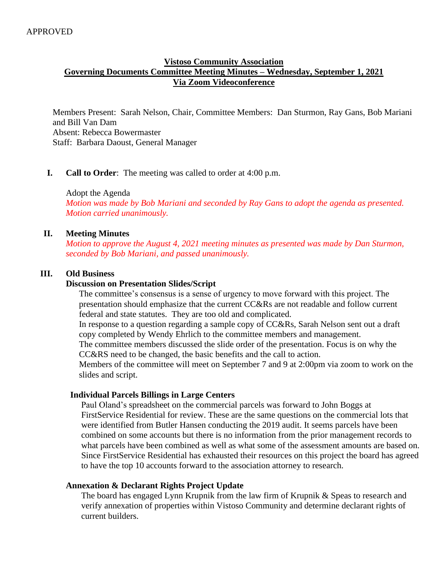## **Vistoso Community Association Governing Documents Committee Meeting Minutes – Wednesday, September 1, 2021 Via Zoom Videoconference**

Members Present: Sarah Nelson, Chair, Committee Members: Dan Sturmon, Ray Gans, Bob Mariani and Bill Van Dam Absent: Rebecca Bowermaster Staff: Barbara Daoust, General Manager

## **I. Call to Order**: The meeting was called to order at 4:00 p.m.

Adopt the Agenda

*Motion was made by Bob Mariani and seconded by Ray Gans to adopt the agenda as presented. Motion carried unanimously.* 

#### **II. Meeting Minutes**

*Motion to approve the August 4, 2021 meeting minutes as presented was made by Dan Sturmon, seconded by Bob Mariani, and passed unanimously.*

#### **III. Old Business**

#### **Discussion on Presentation Slides/Script**

The committee's consensus is a sense of urgency to move forward with this project. The presentation should emphasize that the current CC&Rs are not readable and follow current federal and state statutes. They are too old and complicated. In response to a question regarding a sample copy of CC&Rs, Sarah Nelson sent out a draft

copy completed by Wendy Ehrlich to the committee members and management.

The committee members discussed the slide order of the presentation. Focus is on why the CC&RS need to be changed, the basic benefits and the call to action.

Members of the committee will meet on September 7 and 9 at 2:00pm via zoom to work on the slides and script.

#### **Individual Parcels Billings in Large Centers**

Paul Oland's spreadsheet on the commercial parcels was forward to John Boggs at FirstService Residential for review. These are the same questions on the commercial lots that were identified from Butler Hansen conducting the 2019 audit. It seems parcels have been combined on some accounts but there is no information from the prior management records to what parcels have been combined as well as what some of the assessment amounts are based on. Since FirstService Residential has exhausted their resources on this project the board has agreed to have the top 10 accounts forward to the association attorney to research.

#### **Annexation & Declarant Rights Project Update**

 The board has engaged Lynn Krupnik from the law firm of Krupnik & Speas to research and verify annexation of properties within Vistoso Community and determine declarant rights of current builders.